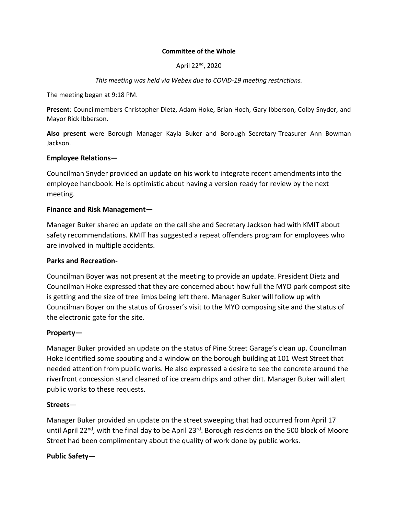#### **Committee of the Whole**

April 22nd, 2020

*This meeting was held via Webex due to COVID-19 meeting restrictions.* 

The meeting began at 9:18 PM.

**Present**: Councilmembers Christopher Dietz, Adam Hoke, Brian Hoch, Gary Ibberson, Colby Snyder, and Mayor Rick Ibberson.

**Also present** were Borough Manager Kayla Buker and Borough Secretary-Treasurer Ann Bowman Jackson.

### **Employee Relations—**

Councilman Snyder provided an update on his work to integrate recent amendments into the employee handbook. He is optimistic about having a version ready for review by the next meeting.

### **Finance and Risk Management—**

Manager Buker shared an update on the call she and Secretary Jackson had with KMIT about safety recommendations. KMIT has suggested a repeat offenders program for employees who are involved in multiple accidents.

### **Parks and Recreation-**

Councilman Boyer was not present at the meeting to provide an update. President Dietz and Councilman Hoke expressed that they are concerned about how full the MYO park compost site is getting and the size of tree limbs being left there. Manager Buker will follow up with Councilman Boyer on the status of Grosser's visit to the MYO composing site and the status of the electronic gate for the site.

#### **Property—**

Manager Buker provided an update on the status of Pine Street Garage's clean up. Councilman Hoke identified some spouting and a window on the borough building at 101 West Street that needed attention from public works. He also expressed a desire to see the concrete around the riverfront concession stand cleaned of ice cream drips and other dirt. Manager Buker will alert public works to these requests.

#### **Streets**—

Manager Buker provided an update on the street sweeping that had occurred from April 17 until April 22<sup>nd</sup>, with the final day to be April 23<sup>rd</sup>. Borough residents on the 500 block of Moore Street had been complimentary about the quality of work done by public works.

# **Public Safety—**